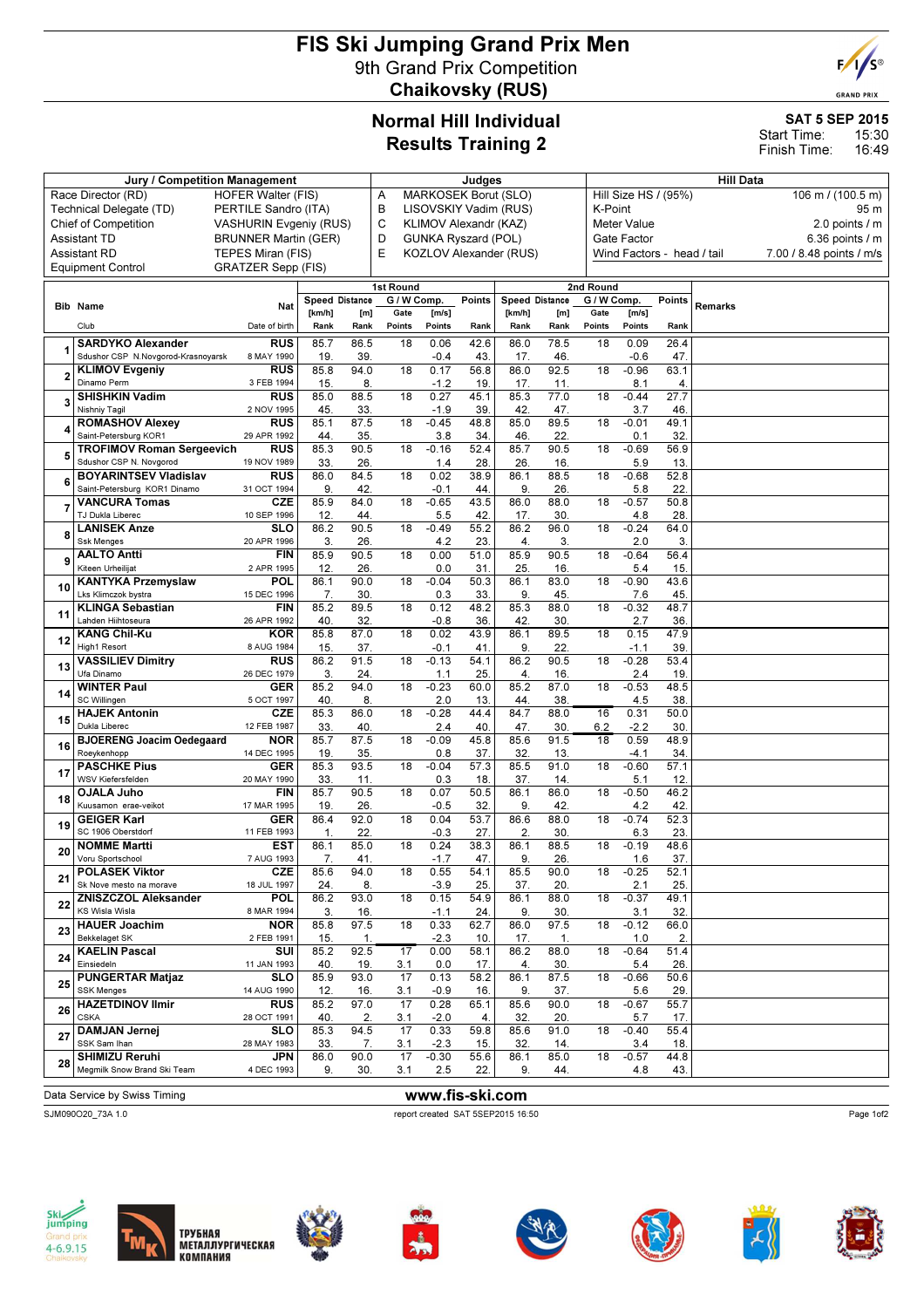# FIS Ski Jumping Grand Prix Men 9th Grand Prix Competition Chaikovsky (RUS)



**GRAND PRIX** 

### Normal Hill Individual Results Training 2

# SAT 5 SEP 2015

15:30 16:49 Start Time: Finish Time:

|                                                                           | Jury / Competition Management                               |                                                | Judges                        |             |                 |                                                          |             |                        | <b>Hill Data</b> |                 |                                                   |             |                                      |                                               |  |  |  |
|---------------------------------------------------------------------------|-------------------------------------------------------------|------------------------------------------------|-------------------------------|-------------|-----------------|----------------------------------------------------------|-------------|------------------------|------------------|-----------------|---------------------------------------------------|-------------|--------------------------------------|-----------------------------------------------|--|--|--|
| Race Director (RD)<br><b>HOFER Walter (FIS)</b>                           |                                                             |                                                |                               |             | Α               | <b>MARKOSEK Borut (SLO)</b>                              |             |                        |                  |                 | Hill Size HS / (95%)<br>106 m / (100.5 m)<br>95 m |             |                                      |                                               |  |  |  |
|                                                                           | Technical Delegate (TD)                                     |                                                | PERTILE Sandro (ITA)          |             |                 | B<br>LISOVSKIY Vadim (RUS)                               |             |                        |                  |                 |                                                   | K-Point     |                                      |                                               |  |  |  |
|                                                                           | <b>Chief of Competition</b>                                 |                                                | <b>VASHURIN Evgeniy (RUS)</b> |             |                 | C<br>KLIMOV Alexandr (KAZ)<br><b>GUNKA Ryszard (POL)</b> |             |                        |                  |                 |                                                   |             | <b>Meter Value</b><br>2.0 points / m |                                               |  |  |  |
| <b>Assistant TD</b><br><b>BRUNNER Martin (GER)</b><br><b>Assistant RD</b> |                                                             |                                                |                               |             | D<br>E          |                                                          |             | KOZLOV Alexander (RUS) |                  |                 | Gate Factor<br>Wind Factors - head / tail         |             |                                      | 6.36 points $/$ m<br>7.00 / 8.48 points / m/s |  |  |  |
|                                                                           | <b>Equipment Control</b>                                    | TEPES Miran (FIS)<br><b>GRATZER Sepp (FIS)</b> |                               |             |                 |                                                          |             |                        |                  |                 |                                                   |             |                                      |                                               |  |  |  |
|                                                                           |                                                             |                                                |                               |             | 1st Round       |                                                          |             |                        |                  | 2nd Round       |                                                   |             |                                      |                                               |  |  |  |
|                                                                           |                                                             |                                                | <b>Speed Distance</b>         |             | G / W Comp.     |                                                          | Points      | <b>Speed Distance</b>  |                  |                 | G / W Comp.<br>Points                             |             |                                      |                                               |  |  |  |
|                                                                           | <b>Bib Name</b>                                             | Nat                                            | [km/h]                        | [m]         | Gate            | [m/s]                                                    |             | [km/h]                 | [m]              | Gate            | [m/s]                                             |             | Remarks                              |                                               |  |  |  |
|                                                                           | Club                                                        | Date of birth                                  | Rank                          | Rank        | Points          | Points                                                   | Rank        | Rank                   | Rank             | Points          | Points                                            | Rank        |                                      |                                               |  |  |  |
|                                                                           | <b>SARDYKO</b> Alexander                                    | <b>RUS</b>                                     | 85.7                          | 86.5        | 18              | 0.06                                                     | 42.6        | 86.0                   | 78.5             | 18              | 0.09                                              | 26.4        |                                      |                                               |  |  |  |
|                                                                           | Sdushor CSP N.Novgorod-Krasnoyarsk<br><b>KLIMOV Evaeniv</b> | 8 MAY 1990<br><b>RUS</b>                       | 19.<br>85.8                   | 39<br>94.0  | 18              | $-0.4$<br>0.17                                           | 43.<br>56.8 | 17.<br>86.0            | 46.<br>92.5      | 18              | $-0.6$<br>$-0.96$                                 | 47.<br>63.1 |                                      |                                               |  |  |  |
|                                                                           | Dinamo Perm                                                 | 3 FEB 1994                                     | 15.                           | 8.          |                 | $-1.2$                                                   | 19          | 17.                    | 11.              |                 | 8.1                                               | 4.          |                                      |                                               |  |  |  |
|                                                                           | <b>SHISHKIN Vadim</b>                                       | <b>RUS</b>                                     | 85.0                          | 88.5        | 18              | 0.27                                                     | 45.1        | 85.3                   | 77.0             | 18              | $-0.44$                                           | 27.7        |                                      |                                               |  |  |  |
|                                                                           | Nishniy Tagil<br><b>ROMASHOV Alexey</b>                     | 2 NOV 1995<br><b>RUS</b>                       | 45.<br>85.1                   | 33.<br>87.5 | 18              | $-1.9$<br>$-0.45$                                        | 39<br>48.8  | 42.<br>85.0            | 47.<br>89.5      | 18              | 3.7<br>$-0.01$                                    | 46<br>49.1  |                                      |                                               |  |  |  |
|                                                                           | Saint-Petersburg KOR1                                       | 29 APR 1992                                    | 44.                           | 35.         |                 | 3.8                                                      | 34          | 46                     | 22               |                 | 0.1                                               | 32          |                                      |                                               |  |  |  |
| 5                                                                         | <b>TROFIMOV Roman Sergeevich</b>                            | <b>RUS</b>                                     | 85.3                          | 90.5        | 18              | $-0.16$                                                  | 52.4        | 85.7                   | 90.5             | 18              | $-0.69$                                           | 56.9        |                                      |                                               |  |  |  |
|                                                                           | Sdushor CSP N. Novgorod<br><b>BOYARINTSEV Vladislav</b>     | 19 NOV 1989<br><b>RUS</b>                      | 33.                           | 26.         |                 | 1.4                                                      | 28          | 26.                    | 16.              |                 | 5.9                                               | 13          |                                      |                                               |  |  |  |
| 6                                                                         | Saint-Petersburg KOR1 Dinamo                                | 31 OCT 1994                                    | 86.0<br>9.                    | 84.5<br>42. | 18              | 0.02<br>$-0.1$                                           | 38.9<br>44  | 86.1<br>9.             | 88.5<br>26.      | 18              | $-0.68$<br>5.8                                    | 52.8<br>22. |                                      |                                               |  |  |  |
|                                                                           | <b>VANCURA Tomas</b>                                        | <b>CZE</b>                                     | 85.9                          | 84.0        | 18              | $-0.65$                                                  | 43.5        | 86.0                   | 88.0             | 18              | $-0.57$                                           | 50.8        |                                      |                                               |  |  |  |
|                                                                           | TJ Dukla Liberec                                            | 10 SEP 1996                                    | 12.                           | 44.         |                 | 5.5                                                      | 42.         | 17.                    | 30.              |                 | 4.8                                               | 28          |                                      |                                               |  |  |  |
| 8                                                                         | <b>LANISEK Anze</b><br><b>Ssk Menges</b>                    | <b>SLO</b><br>20 APR 1996                      | 86.2<br>3.                    | 90.5<br>26. | 18              | $-0.49$<br>4.2                                           | 55.2<br>23  | 86.2<br>4.             | 96.0<br>3.       | 18              | $-0.24$<br>2.0                                    | 64.0<br>3.  |                                      |                                               |  |  |  |
| 9                                                                         | <b>AALTO Antti</b>                                          | <b>FIN</b>                                     | 85.9                          | 90.5        | 18              | 0.00                                                     | 51.0        | 85.9                   | 90.5             | 18              | $-0.64$                                           | 56.4        |                                      |                                               |  |  |  |
|                                                                           | Kiteen Urheilijat                                           | 2 APR 1995                                     | 12.                           | 26.         |                 | 0.0                                                      | 31          | 25                     | 16.              |                 | 5.4                                               | 15          |                                      |                                               |  |  |  |
| 10                                                                        | <b>KANTYKA Przemyslaw</b><br>Lks Klimczok bystra            | POL<br>15 DEC 1996                             | 86.1<br>7.                    | 90.0<br>30. | $\overline{18}$ | $-0.04$<br>0.3                                           | 50.3<br>33  | 86.1<br>9              | 83.0<br>45.      | 18              | $-0.90$<br>7.6                                    | 43.6<br>45  |                                      |                                               |  |  |  |
|                                                                           | <b>KLINGA Sebastian</b>                                     | <b>FIN</b>                                     | 85.2                          | 89.5        | 18              | 0.12                                                     | 48.2        | 85.3                   | 88.0             | 18              | $-0.32$                                           | 48.7        |                                      |                                               |  |  |  |
| 11                                                                        | Lahden Hiihtoseura                                          | 26 APR 1992                                    | 40.                           | 32.         |                 | $-0.8$                                                   | 36          | 42.                    | 30.              |                 | 2.7                                               | 36          |                                      |                                               |  |  |  |
| 12                                                                        | <b>KANG Chil-Ku</b><br>High1 Resort                         | <b>KOR</b><br>8 AUG 1984                       | 85.8<br>15.                   | 87.0<br>37. | 18              | 0.02<br>$-0.1$                                           | 43.9<br>41  | 86.1<br>9.             | 89.5<br>22.      | 18              | 0.15<br>$-1.1$                                    | 47.9<br>39  |                                      |                                               |  |  |  |
|                                                                           | <b>VASSILIEV Dimitry</b>                                    | <b>RUS</b>                                     | 86.2                          | 91.5        | 18              | $-0.13$                                                  | 54.1        | 86.2                   | 90.5             | 18              | $-0.28$                                           | 53.4        |                                      |                                               |  |  |  |
| 13                                                                        | Ufa Dinamo                                                  | 26 DEC 1979                                    | 3.                            | 24.         |                 | 1.1                                                      | 25          | 4.                     | 16.              |                 | 2.4                                               | 19          |                                      |                                               |  |  |  |
| 14                                                                        | <b>WINTER Paul</b><br>SC Willingen                          | <b>GER</b><br>5 OCT 1997                       | 85.2<br>40.                   | 94.0<br>8.  | 18              | $-0.23$<br>2.0                                           | 60.0<br>13  | 85.2<br>44.            | 87.0<br>38       | 18              | $-0.53$<br>4.5                                    | 48.5<br>38  |                                      |                                               |  |  |  |
| 15                                                                        | <b>HAJEK Antonin</b>                                        | CZE                                            | 85.3                          | 86.0        | 18              | $-0.28$                                                  | 44.4        | 84.7                   | 88.0             | 16              | 0.31                                              | 50.0        |                                      |                                               |  |  |  |
|                                                                           | Dukla Liberec                                               | 12 FEB 1987                                    | 33.                           | 40.         |                 | 2.4                                                      | 40          | 47.                    | 30.              | 6.2             | $-2.2$                                            | 30          |                                      |                                               |  |  |  |
| 16                                                                        | <b>BJOERENG Joacim Oedegaard</b><br>Roeykenhopp             | <b>NOR</b><br>14 DEC 1995                      | 85.7<br>19.                   | 87.5<br>35. | 18              | $-0.09$<br>0.8                                           | 45.8<br>37. | 85.6<br>32             | 91.5<br>13.      | $\overline{18}$ | 0.59<br>$-4.1$                                    | 48.9<br>34. |                                      |                                               |  |  |  |
| 17                                                                        | <b>PASCHKE Pius</b>                                         | <b>GER</b>                                     | 85.3                          | 93.5        | 18              | $-0.04$                                                  | 57.3        | 85.5                   | 91.0             | 18              | $-0.60$                                           | 57.1        |                                      |                                               |  |  |  |
|                                                                           | WSV Kiefersfelden                                           | 20 MAY 1990                                    | 33.                           | 11.         |                 | 0.3                                                      | 18          | 37.                    | 14.              |                 | 5.1                                               | 12          |                                      |                                               |  |  |  |
| 18                                                                        | <b>OJALA Juho</b><br>Kuusamon erae-veikot                   | <b>FIN</b><br>17 MAR 1995                      | 85.7<br>19.                   | 90.5<br>26. | 18              | 0.07<br>$-0.5$                                           | 50.5<br>32  | 86.1<br>9.             | 86.0<br>42.      | 18              | $-0.50$<br>4.2                                    | 46.2<br>42. |                                      |                                               |  |  |  |
| 19                                                                        | <b>GEIGER Karl</b>                                          | <b>GER</b>                                     | 86.4                          | 92.0        | 18              | 0.04                                                     | 53.7        | 86.6                   | 88.0             | 18              | $-0.74$                                           | 52.3        |                                      |                                               |  |  |  |
|                                                                           | SC 1906 Oberstdorf                                          | 11 FEB 1993                                    | 1.                            | 22.         |                 | $-0.3$                                                   | 27.         | 2.                     | 30.              |                 | 6.3                                               | 23          |                                      |                                               |  |  |  |
| 20                                                                        | <b>NOMME Martti</b><br>Voru Sportschool                     | EST<br>7 AUG 1993                              | 86.1<br>7.                    | 85.0<br>41. | 18              | 0.24<br>$-1.7$                                           | 38.3<br>47. | 86.1<br>9.             | 88.5<br>26.      | 18              | $-0.19$<br>1.6                                    | 48.6<br>37. |                                      |                                               |  |  |  |
| 21                                                                        | <b>POLASEK Viktor</b>                                       | CZE                                            | 85.6                          | 94.0        | 18              | 0.55                                                     | 54.1        | 85.5                   | 90.0             | 18              | $-0.25$                                           | 52.1        |                                      |                                               |  |  |  |
|                                                                           | Sk Nove mesto na morave                                     | 18 JUL 1997                                    | 24.                           | 8.<br>93.0  | 18              | $-3.9$                                                   | 25.         | 37.                    | 20.              | 18              | 2.1<br>$-0.37$                                    | 25.<br>49.1 |                                      |                                               |  |  |  |
| 22                                                                        | <b>ZNISZCZOL Aleksander</b><br>KS Wisla Wisla               | <b>POL</b><br>8 MAR 1994                       | 86.2<br>3.                    | 16.         |                 | 0.15<br>$-1.1$                                           | 54.9<br>24  | 86.1<br>9.             | 88.0<br>30.      |                 | 3.1                                               | 32.         |                                      |                                               |  |  |  |
| 23                                                                        | <b>HAUER Joachim</b>                                        | NOR                                            | 85.8                          | 97.5        | 18              | 0.33                                                     | 62.7        | 86.0                   | 97.5             | 18              | $-0.12$                                           | 66.0        |                                      |                                               |  |  |  |
|                                                                           | Bekkelaget SK<br><b>KAELIN Pascal</b>                       | 2 FEB 1991<br>SUI                              | 15.<br>85.2                   | 1.<br>92.5  | 17              | $-2.3$<br>0.00                                           | 10.<br>58.1 | 17.<br>86.2            | 1.<br>88.0       | 18              | 1.0<br>$-0.64$                                    | 2.<br>51.4  |                                      |                                               |  |  |  |
| 24                                                                        | Einsiedeln                                                  | 11 JAN 1993                                    | 40.                           | 19.         | 3.1             | 0.0                                                      | 17.         | 4.                     | 30.              |                 | 5.4                                               | 26.         |                                      |                                               |  |  |  |
| 25                                                                        | <b>PUNGERTAR Matjaz</b>                                     | <b>SLO</b>                                     | 85.9                          | 93.0        | 17              | 0.13                                                     | 58.2        | 86.1                   | 87.5             | 18              | $-0.66$                                           | 50.6        |                                      |                                               |  |  |  |
|                                                                           | <b>SSK Menges</b><br><b>HAZETDINOV Ilmir</b>                | 14 AUG 1990<br><b>RUS</b>                      | 12.<br>85.2                   | 16.<br>97.0 | 3.1<br>17       | $-0.9$<br>0.28                                           | 16.<br>65.1 | 9.<br>85.6             | 37.<br>90.0      | 18              | 5.6<br>$-0.67$                                    | 29.<br>55.7 |                                      |                                               |  |  |  |
| 26                                                                        | <b>CSKA</b>                                                 | 28 OCT 1991                                    | 40.                           | 2.          | 3.1             | $-2.0$                                                   | 4.          | 32.                    | 20.              |                 | 5.7                                               | 17.         |                                      |                                               |  |  |  |
| 27                                                                        | <b>DAMJAN Jernej</b>                                        | <b>SLO</b>                                     | 85.3                          | 94.5        | 17              | 0.33                                                     | 59.8        | 85.6                   | 91.0             | 18              | $-0.40$                                           | 55.4        |                                      |                                               |  |  |  |
|                                                                           | SSK Sam Ihan<br>SHIMIZU Reruhi                              | 28 MAY 1983<br>JPN                             | 33.<br>86.0                   | 7.<br>90.0  | 3.1<br>17       | $-2.3$<br>$-0.30$                                        | 15.<br>55.6 | 32.<br>86.1            | 14.<br>85.0      | 18              | 3.4<br>$-0.57$                                    | 18.<br>44.8 |                                      |                                               |  |  |  |
| 28                                                                        | Megmilk Snow Brand Ski Team                                 | 4 DEC 1993                                     | 9.                            | 30.         | 3.1             | 2.5                                                      | 22.         | 9.                     | 44.              |                 | 4.8                                               | 43.         |                                      |                                               |  |  |  |
|                                                                           |                                                             |                                                |                               |             |                 |                                                          |             |                        |                  |                 |                                                   |             |                                      |                                               |  |  |  |

Data Service by Swiss Timing WWW.fis-ski.com SJM090O20\_73A 1.0 report created SAT 5SEP2015 16:50

















Page 1of2